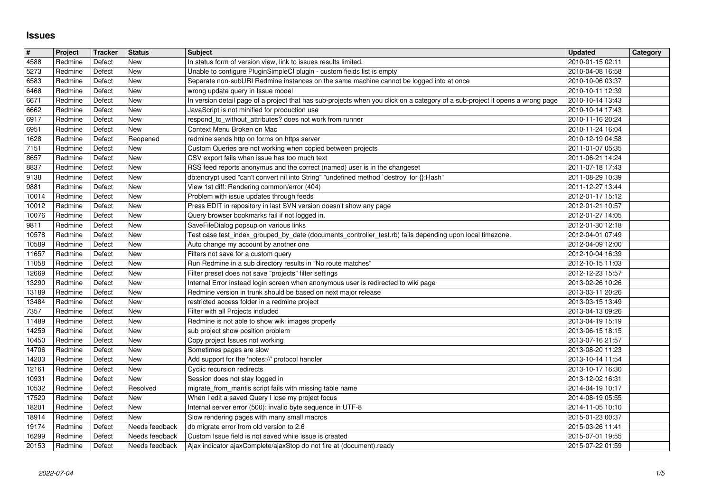## **Issues**

| $\sqrt{\frac{4}{15}}$ | Project            | Tracker          | <b>Status</b>                    | <b>Subject</b>                                                                                                                                                         | <b>Updated</b>                       | Category |
|-----------------------|--------------------|------------------|----------------------------------|------------------------------------------------------------------------------------------------------------------------------------------------------------------------|--------------------------------------|----------|
| $\sqrt{4588}$         | Redmine            | Defect           | <b>New</b>                       | In status form of version view, link to issues results limited.                                                                                                        | 2010-01-15 02:11                     |          |
| 5273<br>6583          | Redmine<br>Redmine | Defect<br>Defect | <b>New</b><br>New                | Unable to configure PluginSimpleCl plugin - custom fields list is empty<br>Separate non-subURI Redmine instances on the same machine cannot be logged into at once     | 2010-04-08 16:58<br>2010-10-06 03:37 |          |
| 6468                  | Redmine            | Defect           | <b>New</b>                       | wrong update query in Issue model                                                                                                                                      | 2010-10-11 12:39                     |          |
| 6671                  | Redmine            | Defect           | <b>New</b>                       | In version detail page of a project that has sub-projects when you click on a category of a sub-project it opens a wrong page                                          | 2010-10-14 13:43                     |          |
| 6662                  | Redmine            | Defect           | <b>New</b>                       | JavaScript is not minified for production use                                                                                                                          | 2010-10-14 17:43                     |          |
| 6917<br>6951          | Redmine<br>Redmine | Defect<br>Defect | New<br>New                       | respond_to_without_attributes? does not work from runner<br>Context Menu Broken on Mac                                                                                 | 2010-11-16 20:24<br>2010-11-24 16:04 |          |
| 1628                  | Redmine            | Defect           | Reopened                         | redmine sends http on forms on https server                                                                                                                            | 2010-12-19 04:58                     |          |
| 7151                  | Redmine            | Defect           | New                              | Custom Queries are not working when copied between projects                                                                                                            | 2011-01-07 05:35                     |          |
| 8657                  | Redmine            | Defect           | New                              | CSV export fails when issue has too much text                                                                                                                          | 2011-06-21 14:24                     |          |
| 8837<br>9138          | Redmine<br>Redmine | Defect<br>Defect | New<br><b>New</b>                | RSS feed reports anonymus and the correct (named) user is in the changeset<br>db:encrypt used "can't convert nil into String" "undefined method `destroy' for {}:Hash" | 2011-07-18 17:43<br>2011-08-29 10:39 |          |
| 9881                  | Redmine            | Defect           | New                              | View 1st diff: Rendering common/error (404)                                                                                                                            | 2011-12-27 13:44                     |          |
| 10014                 | Redmine            | Defect           | New                              | Problem with issue updates through feeds                                                                                                                               | 2012-01-17 15:12                     |          |
| 10012<br>10076        | Redmine<br>Redmine | Defect<br>Defect | New<br>New                       | Press EDIT in repository in last SVN version doesn't show any page<br>Query browser bookmarks fail if not logged in.                                                   | 2012-01-21 10:57<br>2012-01-27 14:05 |          |
| 9811                  | Redmine            | Defect           | New                              | SaveFileDialog popsup on various links                                                                                                                                 | 2012-01-30 12:18                     |          |
| 10578                 | Redmine            | Defect           | New                              | Test case test_index_grouped_by_date (documents_controller_test.rb) fails depending upon local timezone.                                                               | 2012-04-01 07:49                     |          |
| 10589<br>11657        | Redmine<br>Redmine | Defect<br>Defect | <b>New</b><br>New                | Auto change my account by another one<br>Filters not save for a custom query                                                                                           | 2012-04-09 12:00<br>2012-10-04 16:39 |          |
| 11058                 | Redmine            | Defect           | <b>New</b>                       | Run Redmine in a sub directory results in "No route matches"                                                                                                           | 2012-10-15 11:03                     |          |
| 12669<br>13290        | Redmine<br>Redmine | Defect<br>Defect | New<br><b>New</b>                | Filter preset does not save "projects" filter settings<br>Internal Error instead login screen when anonymous user is redirected to wiki page                           | 2012-12-23 15:57<br>2013-02-26 10:26 |          |
| 13189                 | Redmine            | Defect           | New                              | Redmine version in trunk should be based on next major release                                                                                                         | 2013-03-11 20:26                     |          |
| 13484                 | Redmine            | Defect           | New                              | restricted access folder in a redmine project                                                                                                                          | 2013-03-15 13:49                     |          |
| 7357                  | Redmine            | Defect           | New                              | Filter with all Projects included                                                                                                                                      | 2013-04-13 09:26                     |          |
| 11489<br>14259        | Redmine<br>Redmine | Defect<br>Defect | <b>New</b><br>New                | Redmine is not able to show wiki images properly<br>sub project show position problem                                                                                  | 2013-04-19 15:19<br>2013-06-15 18:15 |          |
| 10450                 | Redmine            | Defect           | New                              | Copy project Issues not working                                                                                                                                        | 2013-07-16 21:57                     |          |
| 14706                 | Redmine            | Defect           | <b>New</b>                       | Sometimes pages are slow                                                                                                                                               | 2013-08-20 11:23                     |          |
| 14203                 | Redmine            | Defect           | <b>New</b>                       | Add support for the 'notes://' protocol handler                                                                                                                        | 2013-10-14 11:54                     |          |
| 12161<br>10931        | Redmine<br>Redmine | Defect<br>Defect | New<br>New                       | Cyclic recursion redirects<br>Session does not stay logged in                                                                                                          | 2013-10-17 16:30<br>2013-12-02 16:31 |          |
| 10532                 | Redmine            | Defect           | Resolved                         | migrate_from_mantis script fails with missing table name                                                                                                               | 2014-04-19 10:17                     |          |
| 17520<br>18201        | Redmine<br>Redmine | Defect<br>Defect | New<br><b>New</b>                | When I edit a saved Query I lose my project focus<br>Internal server error (500): invalid byte sequence in UTF-8                                                       | 2014-08-19 05:55<br>2014-11-05 10:10 |          |
| 18914                 | Redmine            | Defect           | New                              | Slow rendering pages with many small macros                                                                                                                            | 2015-01-23 00:37                     |          |
| 19174                 | Redmine            | Defect           | Needs feedback                   | db migrate error from old version to 2.6                                                                                                                               | 2015-03-26 11:41                     |          |
| 16299<br>20153        | Redmine<br>Redmine | Defect<br>Defect | Needs feedback<br>Needs feedback | Custom Issue field is not saved while issue is created<br>Ajax indicator ajaxComplete/ajaxStop do not fire at (document).ready                                         | 2015-07-01 19:55<br>2015-07-22 01:59 |          |
|                       |                    |                  |                                  |                                                                                                                                                                        |                                      |          |
|                       |                    |                  |                                  |                                                                                                                                                                        |                                      |          |
|                       |                    |                  |                                  |                                                                                                                                                                        |                                      |          |
|                       |                    |                  |                                  |                                                                                                                                                                        |                                      |          |
|                       |                    |                  |                                  |                                                                                                                                                                        |                                      |          |
|                       |                    |                  |                                  |                                                                                                                                                                        |                                      |          |
|                       |                    |                  |                                  |                                                                                                                                                                        |                                      |          |
|                       |                    |                  |                                  |                                                                                                                                                                        |                                      |          |
|                       |                    |                  |                                  |                                                                                                                                                                        |                                      |          |
|                       |                    |                  |                                  |                                                                                                                                                                        |                                      |          |
|                       |                    |                  |                                  |                                                                                                                                                                        |                                      |          |
|                       |                    |                  |                                  |                                                                                                                                                                        |                                      |          |
|                       |                    |                  |                                  |                                                                                                                                                                        |                                      |          |
|                       |                    |                  |                                  |                                                                                                                                                                        |                                      |          |
|                       |                    |                  |                                  |                                                                                                                                                                        |                                      |          |
|                       |                    |                  |                                  |                                                                                                                                                                        |                                      |          |
|                       |                    |                  |                                  |                                                                                                                                                                        |                                      |          |
|                       |                    |                  |                                  |                                                                                                                                                                        |                                      |          |
|                       |                    |                  |                                  |                                                                                                                                                                        |                                      |          |
|                       |                    |                  |                                  |                                                                                                                                                                        |                                      |          |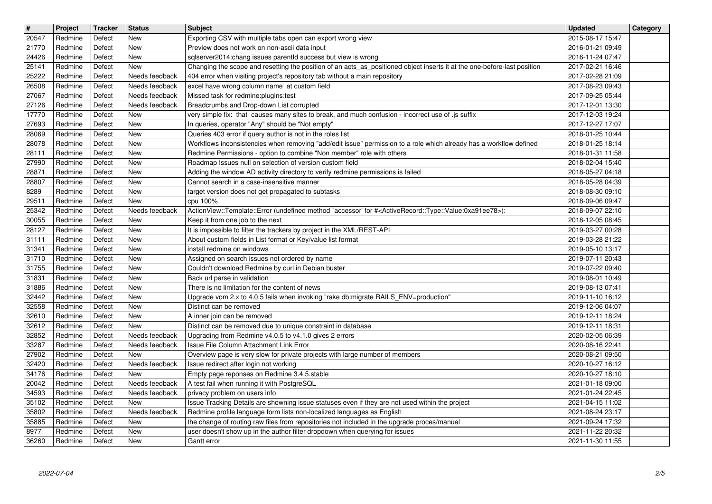| $\overline{\mathbf{H}}$ | Project            | Tracker          | <b>Status</b>                              | <b>Subject</b>                                                                                                                                                                                         | <b>Updated</b>                       | Category |
|-------------------------|--------------------|------------------|--------------------------------------------|--------------------------------------------------------------------------------------------------------------------------------------------------------------------------------------------------------|--------------------------------------|----------|
| 20547<br>21770          | Redmine<br>Redmine | Defect<br>Defect | New<br><b>New</b>                          | Exporting CSV with multiple tabs open can export wrong view<br>Preview does not work on non-ascii data input                                                                                           | 2015-08-17 15:47<br>2016-01-21 09:49 |          |
| 24426                   | Redmine            | Defect           | New                                        | sqlserver2014:chang issues parentld success but view is wrong                                                                                                                                          | 2016-11-24 07:47                     |          |
| 25141<br>25222          | Redmine<br>Redmine | Defect<br>Defect | New<br>Needs feedback                      | Changing the scope and resetting the position of an acts_as_positioned object inserts it at the one-before-last position<br>404 error when visiting project's repository tab without a main repository | 2017-02-21 16:46<br>2017-02-28 21:09 |          |
| 26508                   | Redmine            | Defect           | Needs feedback                             | excel have wrong column name at custom field                                                                                                                                                           | 2017-08-23 09:43                     |          |
| 27067<br>27126          | Redmine<br>Redmine | Defect<br>Defect | Needs feedback<br>Needs feedback           | Missed task for redmine:plugins:test<br>Breadcrumbs and Drop-down List corrupted                                                                                                                       | 2017-09-25 05:44<br>2017-12-01 13:30 |          |
| 17770                   | Redmine            | Defect           | New                                        | very simple fix: that causes many sites to break, and much confusion - incorrect use of .js suffix                                                                                                     | 2017-12-03 19:24                     |          |
| 27693<br>28069          | Redmine<br>Redmine | Defect<br>Defect | New<br><b>New</b>                          | In queries, operator "Any" should be "Not empty"<br>Queries 403 error if query author is not in the roles list                                                                                         | 2017-12-27 17:07<br>2018-01-25 10:44 |          |
| 28078                   | Redmine            | Defect           | New                                        | Workflows inconsistencies when removing "add/edit issue" permission to a role which already has a workflow defined                                                                                     | 2018-01-25 18:14                     |          |
| 28111<br>27990          | Redmine<br>Redmine | Defect<br>Defect | New<br>New                                 | Redmine Permissions - option to combine "Non member" role with others<br>Roadmap Issues null on selection of version custom field                                                                      | 2018-01-31 11:58<br>2018-02-04 15:40 |          |
| 28871<br>28807          | Redmine<br>Redmine | Defect<br>Defect | New<br>New                                 | Adding the window AD activity directory to verify redmine permissions is failed<br>Cannot search in a case-insensitive manner                                                                          | 2018-05-27 04:18<br>2018-05-28 04:39 |          |
| 8289                    | Redmine            | Defect           | New                                        | target version does not get propagated to subtasks                                                                                                                                                     | 2018-08-30 09:10                     |          |
| 29511<br>25342          | Redmine<br>Redmine | Defect<br>Defect | New<br>Needs feedback                      | cpu 100%<br>ActionView::Template::Error (undefined method `accessor' for # <activerecord::type::value:0xa91ee78>):</activerecord::type::value:0xa91ee78>                                               | 2018-09-06 09:47<br>2018-09-07 22:10 |          |
| 30055                   | Redmine            | Defect           | New                                        | Keep it from one job to the next                                                                                                                                                                       | 2018-12-05 08:45                     |          |
| 28127<br>31111          | Redmine<br>Redmine | Defect<br>Defect | New<br><b>New</b>                          | It is impossible to filter the trackers by project in the XML/REST-API<br>About custom fields in List format or Key/value list format                                                                  | 2019-03-27 00:28<br>2019-03-28 21:22 |          |
| 31341                   | Redmine            | Defect           | <b>New</b>                                 | install redmine on windows                                                                                                                                                                             | 2019-05-10 13:17                     |          |
| 31710<br>31755          | Redmine<br>Redmine | Defect<br>Defect | <b>New</b><br><b>New</b>                   | Assigned on search issues not ordered by name<br>Couldn't download Redmine by curl in Debian buster                                                                                                    | 2019-07-11 20:43<br>2019-07-22 09:40 |          |
| 31831                   | Redmine            | Defect           | <b>New</b>                                 | Back url parse in validation                                                                                                                                                                           | 2019-08-01 10:49                     |          |
| 31886<br>32442          | Redmine<br>Redmine | Defect<br>Defect | New<br><b>New</b>                          | There is no limitation for the content of news<br>Upgrade vom 2.x to 4.0.5 fails when invoking "rake db:migrate RAILS_ENV=production"                                                                  | 2019-08-13 07:41<br>2019-11-10 16:12 |          |
| 32558                   | Redmine            | Defect           | New                                        | Distinct can be removed                                                                                                                                                                                | 2019-12-06 04:07                     |          |
| 32610<br>32612          | Redmine<br>Redmine | Defect<br>Defect | New<br>New                                 | A inner join can be removed<br>Distinct can be removed due to unique constraint in database                                                                                                            | 2019-12-11 18:24<br>2019-12-11 18:31 |          |
| 32852                   | Redmine            | Defect           | Needs feedback                             | Upgrading from Redmine v4.0.5 to v4.1.0 gives 2 errors                                                                                                                                                 | 2020-02-05 06:39                     |          |
| 33287<br>27902          | Redmine<br>Redmine | Defect<br>Defect | Needs feedback<br>New                      | Issue File Column Attachment Link Error<br>Overview page is very slow for private projects with large number of members                                                                                | 2020-08-16 22:41<br>2020-08-21 09:50 |          |
| 32420                   | Redmine            | Defect           | Needs feedback                             | Issue redirect after login not working                                                                                                                                                                 | 2020-10-27 16:12                     |          |
| 34176<br>20042          | Redmine<br>Redmine | Defect<br>Defect | New<br>Needs feedback                      | Empty page reponses on Redmine 3.4.5.stable<br>A test fail when running it with PostgreSQL                                                                                                             | 2020-10-27 18:10<br>2021-01-18 09:00 |          |
| 34593                   | Redmine            | Defect           | Needs feedback                             | privacy problem on users info                                                                                                                                                                          | 2021-01-24 22:45                     |          |
| 35102<br>35802          | Redmine<br>Redmine | Defect<br>Defect | $\sqrt{\phantom{a}}$ New<br>Needs feedback | Issue Tracking Details are showning issue statuses even if they are not used within the project<br>Redmine profile language form lists non-localized languages as English                              | 2021-04-15 11:02<br>2021-08-24 23:17 |          |
| 35885                   | Redmine            | Defect           | New                                        | the change of routing raw files from repositories not included in the upgrade proces/manual                                                                                                            | 2021-09-24 17:32                     |          |
| 8977<br>36260           | Redmine<br>Redmine | Defect<br>Defect | New<br>New                                 | user doesn't show up in the author filter dropdown when querying for issues<br>Gantt error                                                                                                             | 2021-11-22 20:32<br>2021-11-30 11:55 |          |
|                         |                    |                  |                                            |                                                                                                                                                                                                        |                                      |          |
|                         | 2022-07-04         |                  |                                            |                                                                                                                                                                                                        |                                      | 2/5      |
|                         |                    |                  |                                            |                                                                                                                                                                                                        |                                      |          |
|                         |                    |                  |                                            |                                                                                                                                                                                                        |                                      |          |
|                         |                    |                  |                                            |                                                                                                                                                                                                        |                                      |          |
|                         |                    |                  |                                            |                                                                                                                                                                                                        |                                      |          |
|                         |                    |                  |                                            |                                                                                                                                                                                                        |                                      |          |
|                         |                    |                  |                                            |                                                                                                                                                                                                        |                                      |          |
|                         |                    |                  |                                            |                                                                                                                                                                                                        |                                      |          |
|                         |                    |                  |                                            |                                                                                                                                                                                                        |                                      |          |
|                         |                    |                  |                                            |                                                                                                                                                                                                        |                                      |          |
|                         |                    |                  |                                            |                                                                                                                                                                                                        |                                      |          |
|                         |                    |                  |                                            |                                                                                                                                                                                                        |                                      |          |
|                         |                    |                  |                                            |                                                                                                                                                                                                        |                                      |          |
|                         |                    |                  |                                            |                                                                                                                                                                                                        |                                      |          |
|                         |                    |                  |                                            |                                                                                                                                                                                                        |                                      |          |
|                         |                    |                  |                                            |                                                                                                                                                                                                        |                                      |          |
|                         |                    |                  |                                            |                                                                                                                                                                                                        |                                      |          |
|                         |                    |                  |                                            |                                                                                                                                                                                                        |                                      |          |
|                         |                    |                  |                                            |                                                                                                                                                                                                        |                                      |          |
|                         |                    |                  |                                            |                                                                                                                                                                                                        |                                      |          |
|                         |                    |                  |                                            |                                                                                                                                                                                                        |                                      |          |
|                         |                    |                  |                                            |                                                                                                                                                                                                        |                                      |          |
|                         |                    |                  |                                            |                                                                                                                                                                                                        |                                      |          |
|                         |                    |                  |                                            |                                                                                                                                                                                                        |                                      |          |
|                         |                    |                  |                                            |                                                                                                                                                                                                        |                                      |          |
|                         |                    |                  |                                            |                                                                                                                                                                                                        |                                      |          |
|                         |                    |                  |                                            |                                                                                                                                                                                                        |                                      |          |
|                         |                    |                  |                                            |                                                                                                                                                                                                        |                                      |          |
|                         |                    |                  |                                            |                                                                                                                                                                                                        |                                      |          |
|                         |                    |                  |                                            |                                                                                                                                                                                                        |                                      |          |
|                         |                    |                  |                                            |                                                                                                                                                                                                        |                                      |          |
|                         |                    |                  |                                            |                                                                                                                                                                                                        |                                      |          |
|                         |                    |                  |                                            |                                                                                                                                                                                                        |                                      |          |
|                         |                    |                  |                                            |                                                                                                                                                                                                        |                                      |          |
|                         |                    |                  |                                            |                                                                                                                                                                                                        |                                      |          |
|                         |                    |                  |                                            |                                                                                                                                                                                                        |                                      |          |
|                         |                    |                  |                                            |                                                                                                                                                                                                        |                                      |          |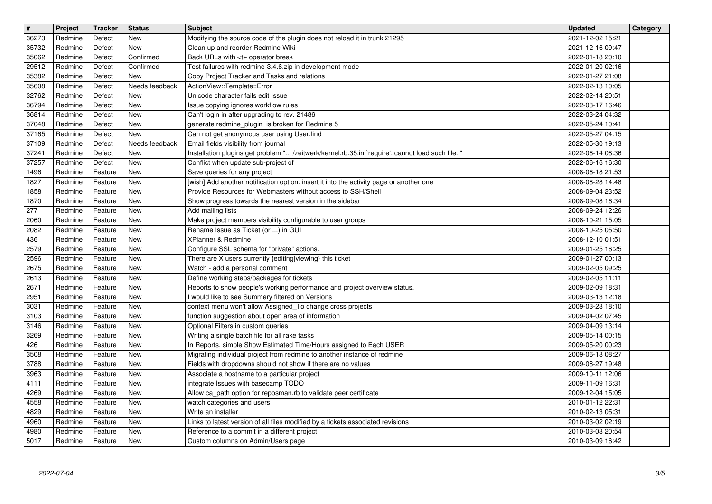| $\boxed{\textcolor{blue}{\#}}$ | Project            | Tracker            | <b>Status</b>                | <b>Subject</b>                                                                                                                                 | <b>Updated</b>                       | Category |
|--------------------------------|--------------------|--------------------|------------------------------|------------------------------------------------------------------------------------------------------------------------------------------------|--------------------------------------|----------|
| 36273<br>35732                 | Redmine<br>Redmine | Defect<br>Defect   | New<br><b>New</b>            | Modifying the source code of the plugin does not reload it in trunk 21295<br>Clean up and reorder Redmine Wiki                                 | 2021-12-02 15:21<br>2021-12-16 09:47 |          |
| 35062                          | Redmine            | Defect             | Confirmed                    | Back URLs with <t+ break<="" operator="" td=""><td>2022-01-18 20:10</td><td></td></t+>                                                         | 2022-01-18 20:10                     |          |
| 29512                          | Redmine            | Defect             | Confirmed<br><b>New</b>      | Test failures with redmine-3.4.6.zip in development mode<br>Copy Project Tracker and Tasks and relations                                       | 2022-01-20 02:16                     |          |
| 35382<br>35608                 | Redmine<br>Redmine | Defect<br>Defect   | Needs feedback               | ActionView::Template::Error                                                                                                                    | 2022-01-27 21:08<br>2022-02-13 10:05 |          |
| 32762                          | Redmine            | Defect             | <b>New</b>                   | Unicode character fails edit Issue                                                                                                             | 2022-02-14 20:51                     |          |
| 36794<br>36814                 | Redmine<br>Redmine | Defect<br>Defect   | New<br>New                   | Issue copying ignores workflow rules<br>Can't login in after upgrading to rev. 21486                                                           | 2022-03-17 16:46<br>2022-03-24 04:32 |          |
| 37048                          | Redmine            | Defect             | <b>New</b>                   | generate redmine_plugin is broken for Redmine 5                                                                                                | 2022-05-24 10:41                     |          |
| 37165<br>37109                 | Redmine<br>Redmine | Defect<br>Defect   | <b>New</b><br>Needs feedback | Can not get anonymous user using User.find<br>Email fields visibility from journal                                                             | 2022-05-27 04:15<br>2022-05-30 19:13 |          |
| 37241                          | Redmine            | Defect             | New                          | Installation plugins get problem " /zeitwerk/kernel.rb:35:in `require': cannot load such file"                                                 | 2022-06-14 08:36                     |          |
| 37257<br>1496                  | Redmine<br>Redmine | Defect<br>Feature  | <b>New</b><br><b>New</b>     | Conflict when update sub-project of<br>Save queries for any project                                                                            | 2022-06-16 16:30<br>2008-06-18 21:53 |          |
| 1827                           | Redmine            | Feature            | New                          | [wish] Add another notification option: insert it into the activity page or another one                                                        | 2008-08-28 14:48                     |          |
| 1858<br>1870                   | Redmine<br>Redmine | Feature<br>Feature | New<br><b>New</b>            | Provide Resources for Webmasters without access to SSH/Shell<br>Show progress towards the nearest version in the sidebar                       | 2008-09-04 23:52<br>2008-09-08 16:34 |          |
| 277                            | Redmine            | Feature            | <b>New</b>                   | Add mailing lists                                                                                                                              | 2008-09-24 12:26                     |          |
| 2060<br>2082                   | Redmine<br>Redmine | Feature<br>Feature | New<br><b>New</b>            | Make project members visibility configurable to user groups<br>Rename Issue as Ticket (or ) in GUI                                             | 2008-10-21 15:05<br>2008-10-25 05:50 |          |
| 436                            | Redmine            | Feature            | <b>New</b>                   | XPlanner & Redmine                                                                                                                             | 2008-12-10 01:51                     |          |
| 2579<br>2596                   | Redmine<br>Redmine | Feature<br>Feature | <b>New</b><br><b>New</b>     | Configure SSL schema for "private" actions.<br>There are X users currently {editing viewing} this ticket                                       | 2009-01-25 16:25<br>2009-01-27 00:13 |          |
| 2675                           | Redmine            | Feature            | New                          | Watch - add a personal comment                                                                                                                 | 2009-02-05 09:25                     |          |
| 2613                           | Redmine            | Feature            | <b>New</b>                   | Define working steps/packages for tickets                                                                                                      | 2009-02-05 11:11                     |          |
| 2671<br>2951                   | Redmine<br>Redmine | Feature<br>Feature | <b>New</b><br><b>New</b>     | Reports to show people's working performance and project overview status.<br>I would like to see Summery filtered on Versions                  | 2009-02-09 18:31<br>2009-03-13 12:18 |          |
| 3031                           | Redmine            | Feature            | New                          | context menu won't allow Assigned_To change cross projects                                                                                     | 2009-03-23 18:10                     |          |
| 3103<br>3146                   | Redmine<br>Redmine | Feature<br>Feature | New<br><b>New</b>            | function suggestion about open area of information<br>Optional Filters in custom queries                                                       | 2009-04-02 07:45<br>2009-04-09 13:14 |          |
| 3269                           | Redmine            | Feature            | <b>New</b>                   | Writing a single batch file for all rake tasks                                                                                                 | 2009-05-14 00:15                     |          |
| 426<br>3508                    | Redmine<br>Redmine | Feature<br>Feature | <b>New</b><br><b>New</b>     | In Reports, simple Show Estimated Time/Hours assigned to Each USER<br>Migrating individual project from redmine to another instance of redmine | 2009-05-20 00:23<br>2009-06-18 08:27 |          |
| 3788                           | Redmine            | Feature            | <b>New</b>                   | Fields with dropdowns should not show if there are no values                                                                                   | 2009-08-27 19:48                     |          |
| 3963<br>4111                   | Redmine<br>Redmine | Feature<br>Feature | <b>New</b><br><b>New</b>     | Associate a hostname to a particular project<br>integrate Issues with basecamp TODO                                                            | 2009-10-11 12:06<br>2009-11-09 16:31 |          |
| 4269                           | Redmine            | Feature            | New                          | Allow ca_path option for reposman.rb to validate peer certificate                                                                              | 2009-12-04 15:05                     |          |
| 4558<br>4829                   | Redmine<br>Redmine | Feature<br>Feature | New<br><b>New</b>            | watch categories and users<br>Write an installer                                                                                               | 2010-01-12 22:31<br>2010-02-13 05:31 |          |
| 4960                           | Redmine            | Feature            | New                          | Links to latest version of all files modified by a tickets associated revisions                                                                | 2010-03-02 02:19                     |          |
| 4980<br>5017                   | Redmine<br>Redmine | Feature<br>Feature | New<br>New                   | Reference to a commit in a different project<br>Custom columns on Admin/Users page                                                             | 2010-03-03 20:54<br>2010-03-09 16:42 |          |
|                                |                    |                    |                              |                                                                                                                                                |                                      |          |
|                                |                    |                    |                              |                                                                                                                                                |                                      |          |
|                                |                    |                    |                              |                                                                                                                                                |                                      |          |
|                                |                    |                    |                              |                                                                                                                                                |                                      |          |
|                                |                    |                    |                              |                                                                                                                                                |                                      |          |
|                                |                    |                    |                              |                                                                                                                                                |                                      |          |
|                                |                    |                    |                              |                                                                                                                                                |                                      |          |
|                                |                    |                    |                              |                                                                                                                                                |                                      |          |
|                                |                    |                    |                              |                                                                                                                                                |                                      |          |
|                                |                    |                    |                              |                                                                                                                                                |                                      |          |
|                                |                    |                    |                              |                                                                                                                                                |                                      |          |
|                                |                    |                    |                              |                                                                                                                                                |                                      |          |
|                                |                    |                    |                              |                                                                                                                                                |                                      |          |
|                                |                    |                    |                              |                                                                                                                                                |                                      |          |
|                                |                    |                    |                              |                                                                                                                                                |                                      |          |
|                                |                    |                    |                              |                                                                                                                                                |                                      |          |
|                                |                    |                    |                              |                                                                                                                                                |                                      |          |
|                                |                    |                    |                              |                                                                                                                                                |                                      |          |
|                                |                    |                    |                              |                                                                                                                                                |                                      |          |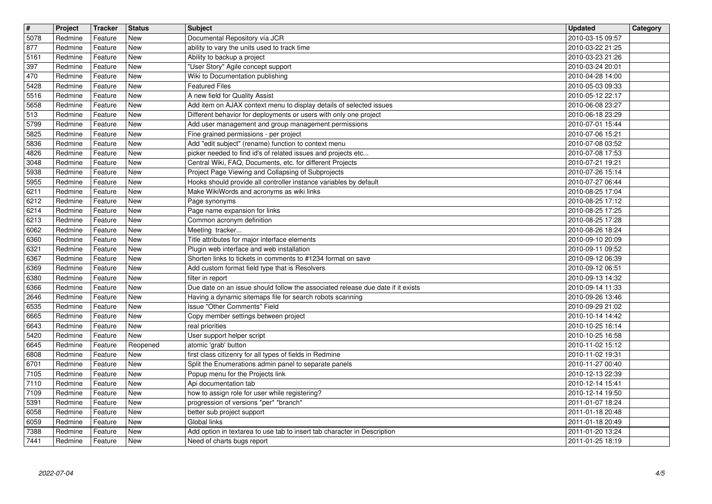| $\boxed{\textcolor{blue}{\#}}$ | Project            | <b>Tracker</b>     | <b>Status</b>            | <b>Subject</b>                                                                                                                           | <b>Updated</b>                       | Category |
|--------------------------------|--------------------|--------------------|--------------------------|------------------------------------------------------------------------------------------------------------------------------------------|--------------------------------------|----------|
| 5078<br>877                    | Redmine<br>Redmine | Feature<br>Feature | New<br>New               | Documental Repository vía JCR<br>ability to vary the units used to track time                                                            | 2010-03-15 09:57<br>2010-03-22 21:25 |          |
| 5161                           | Redmine            | Feature            | New                      | Ability to backup a project                                                                                                              | 2010-03-23 21:26                     |          |
| 397                            | Redmine            | Feature            | New<br>New               | "User Story" Agile concept support                                                                                                       | 2010-03-24 20:01                     |          |
| 470<br>5428                    | Redmine<br>Redmine | Feature<br>Feature | New                      | Wiki to Documentation publishing<br><b>Featured Files</b>                                                                                | 2010-04-28 14:00<br>2010-05-03 09:33 |          |
| 5516                           | Redmine            | Feature            | <b>New</b>               | A new field for Quality Assist                                                                                                           | 2010-05-12 22:17                     |          |
| 5658<br>$\sqrt{513}$           | Redmine<br>Redmine | Feature<br>Feature | <b>New</b><br>New        | Add item on AJAX context menu to display details of selected issues<br>Different behavior for deployments or users with only one project | 2010-06-08 23:27<br>2010-06-18 23:29 |          |
| 5799                           | Redmine            | Feature            | <b>New</b>               | Add user management and group management permissions                                                                                     | 2010-07-01 15:44                     |          |
| 5825<br>5836                   | Redmine<br>Redmine | Feature<br>Feature | <b>New</b><br>New        | Fine grained permissions - per project<br>Add "edit subject" (rename) function to context menu                                           | 2010-07-06 15:21<br>2010-07-08 03:52 |          |
| $\sqrt{4826}$                  | Redmine            | Feature            | New                      | picker needed to find id's of related issues and projects etc                                                                            | 2010-07-08 17:53                     |          |
| 3048<br>5938                   | Redmine<br>Redmine | Feature<br>Feature | <b>New</b><br>New        | Central Wiki, FAQ, Documents, etc. for different Projects<br>Project Page Viewing and Collapsing of Subprojects                          | 2010-07-21 19:21<br>2010-07-26 15:14 |          |
| 5955                           | Redmine            | Feature            | <b>New</b>               | Hooks should provide all controller instance variables by default                                                                        | 2010-07-27 06:44                     |          |
| 6211<br>6212                   | Redmine<br>Redmine | Feature<br>Feature | <b>New</b><br>New        | Make WikiWords and acronyms as wiki links<br>Page synonyms                                                                               | 2010-08-25 17:04<br>2010-08-25 17:12 |          |
| 6214                           | Redmine            | Feature            | <b>New</b>               | Page name expansion for links                                                                                                            | 2010-08-25 17:25                     |          |
| $\sqrt{6213}$<br>6062          | Redmine<br>Redmine | Feature<br>Feature | <b>New</b><br><b>New</b> | Common acronym definition<br>Meeting tracker                                                                                             | 2010-08-25 17:28<br>2010-08-26 18:24 |          |
| 6360                           | Redmine            | Feature            | <b>New</b>               | Title attributes for major interface elements                                                                                            | 2010-09-10 20:09                     |          |
| 6321<br>6367                   | Redmine<br>Redmine | Feature<br>Feature | <b>New</b><br><b>New</b> | Plugin web interface and web installation<br>Shorten links to tickets in comments to #1234 format on save                                | 2010-09-11 09:52<br>2010-09-12 06:39 |          |
| 6369                           | Redmine            | Feature            | New                      | Add custom format field type that is Resolvers                                                                                           | 2010-09-12 06:51                     |          |
| 6380<br>6366                   | Redmine<br>Redmine | Feature<br>Feature | <b>New</b><br><b>New</b> | filter in report<br>Due date on an issue should follow the associated release due date if it exists                                      | 2010-09-13 14:32<br>2010-09-14 11:33 |          |
| 2646                           | Redmine            | Feature            | New                      | Having a dynamic sitemaps file for search robots scanning                                                                                | 2010-09-26 13:46                     |          |
| 6535<br>6665                   | Redmine<br>Redmine | Feature<br>Feature | <b>New</b><br><b>New</b> | Issue "Other Comments" Field                                                                                                             | 2010-09-29 21:02<br>2010-10-14 14:42 |          |
| 6643                           | Redmine            | Feature            | <b>New</b>               | Copy member settings between project<br>real priorities                                                                                  | 2010-10-25 16:14                     |          |
| 5420                           | Redmine            | Feature            | <b>New</b>               | User support helper script                                                                                                               | 2010-10-25 16:58                     |          |
| 6645<br>6808                   | Redmine<br>Redmine | Feature<br>Feature | Reopened<br><b>New</b>   | atomic 'grab' button<br>first class citizenry for all types of fields in Redmine                                                         | 2010-11-02 15:12<br>2010-11-02 19:31 |          |
| 6701                           | Redmine            | Feature            | New                      | Split the Enumerations admin panel to separate panels                                                                                    | 2010-11-27 00:40                     |          |
| 7105<br>7110                   | Redmine<br>Redmine | Feature<br>Feature | <b>New</b><br><b>New</b> | Popup menu for the Projects link<br>Api documentation tab                                                                                | 2010-12-13 22:39<br>2010-12-14 15:41 |          |
| 7109                           | Redmine            | Feature            | New                      | how to assign role for user while registering?                                                                                           | 2010-12-14 19:50                     |          |
| 5391<br>6058                   | Redmine<br>Redmine | Feature<br>Feature | New<br><b>New</b>        | progression of versions *per* *branch*<br>better sub project support                                                                     | 2011-01-07 18:24<br>2011-01-18 20:48 |          |
| 6059                           | Redmine            | Feature            | New                      | Global links                                                                                                                             | 2011-01-18 20:49                     |          |
| 7388<br>7441                   | Redmine<br>Redmine | Feature<br>Feature | New<br>New               | Add option in textarea to use tab to insert tab character in Description<br>Need of charts bugs report                                   | 2011-01-20 13:24<br>2011-01-25 18:19 |          |
|                                |                    |                    |                          |                                                                                                                                          |                                      |          |
|                                |                    |                    |                          |                                                                                                                                          |                                      |          |
|                                |                    |                    |                          |                                                                                                                                          |                                      |          |
|                                |                    |                    |                          |                                                                                                                                          |                                      |          |
|                                |                    |                    |                          |                                                                                                                                          |                                      |          |
|                                |                    |                    |                          |                                                                                                                                          |                                      |          |
|                                |                    |                    |                          |                                                                                                                                          |                                      |          |
|                                |                    |                    |                          |                                                                                                                                          |                                      |          |
|                                |                    |                    |                          |                                                                                                                                          |                                      |          |
|                                |                    |                    |                          |                                                                                                                                          |                                      |          |
|                                |                    |                    |                          |                                                                                                                                          |                                      |          |
|                                |                    |                    |                          |                                                                                                                                          |                                      |          |
|                                |                    |                    |                          |                                                                                                                                          |                                      |          |
|                                |                    |                    |                          |                                                                                                                                          |                                      |          |
|                                |                    |                    |                          |                                                                                                                                          |                                      |          |
|                                |                    |                    |                          |                                                                                                                                          |                                      |          |
|                                |                    |                    |                          |                                                                                                                                          |                                      |          |
|                                |                    |                    |                          |                                                                                                                                          |                                      |          |